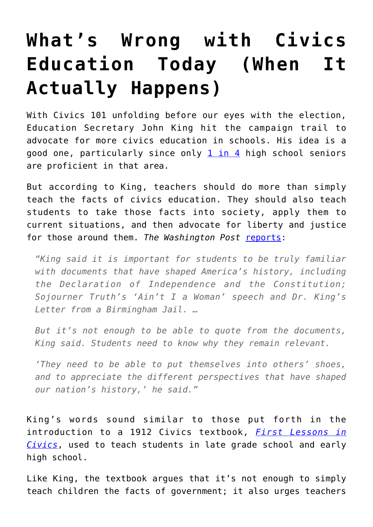## **[What's Wrong with Civics](https://intellectualtakeout.org/2016/10/whats-wrong-with-civics-education-today-when-it-actually-happens/) [Education Today \(When It](https://intellectualtakeout.org/2016/10/whats-wrong-with-civics-education-today-when-it-actually-happens/) [Actually Happens\)](https://intellectualtakeout.org/2016/10/whats-wrong-with-civics-education-today-when-it-actually-happens/)**

With Civics 101 unfolding before our eyes with the election, Education Secretary John King hit the campaign trail to advocate for more civics education in schools. His idea is a good one, particularly since only  $1$  in  $4$  high school seniors are proficient in that area.

But according to King, teachers should do more than simply teach the facts of civics education. They should also teach students to take those facts into society, apply them to current situations, and then advocate for liberty and justice for those around them. The Washington Post [reports:](https://www.washingtonpost.com/local/education/education-secretary-says-civics-education-should-encourage-activism/2016/10/19/ec66a5b4-9610-11e6-bb29-bf2701dbe0a3_story.html)

*"King said it is important for students to be truly familiar with documents that have shaped America's history, including the Declaration of Independence and the Constitution; Sojourner Truth's 'Ain't I a Woman' speech and Dr. King's Letter from a Birmingham Jail. …*

*But it's not enough to be able to quote from the documents, King said. Students need to know why they remain relevant.*

*'They need to be able to put themselves into others' shoes, and to appreciate the different perspectives that have shaped our nation's history,' he said."*

King's words sound similar to those put forth in the introduction to a 1912 Civics textbook, *[First Lessons in](https://archive.org/details/firstlessonsi00form) [Civics](https://archive.org/details/firstlessonsi00form)*, used to teach students in late grade school and early high school.

Like King, the textbook argues that it's not enough to simply teach children the facts of government; it also urges teachers